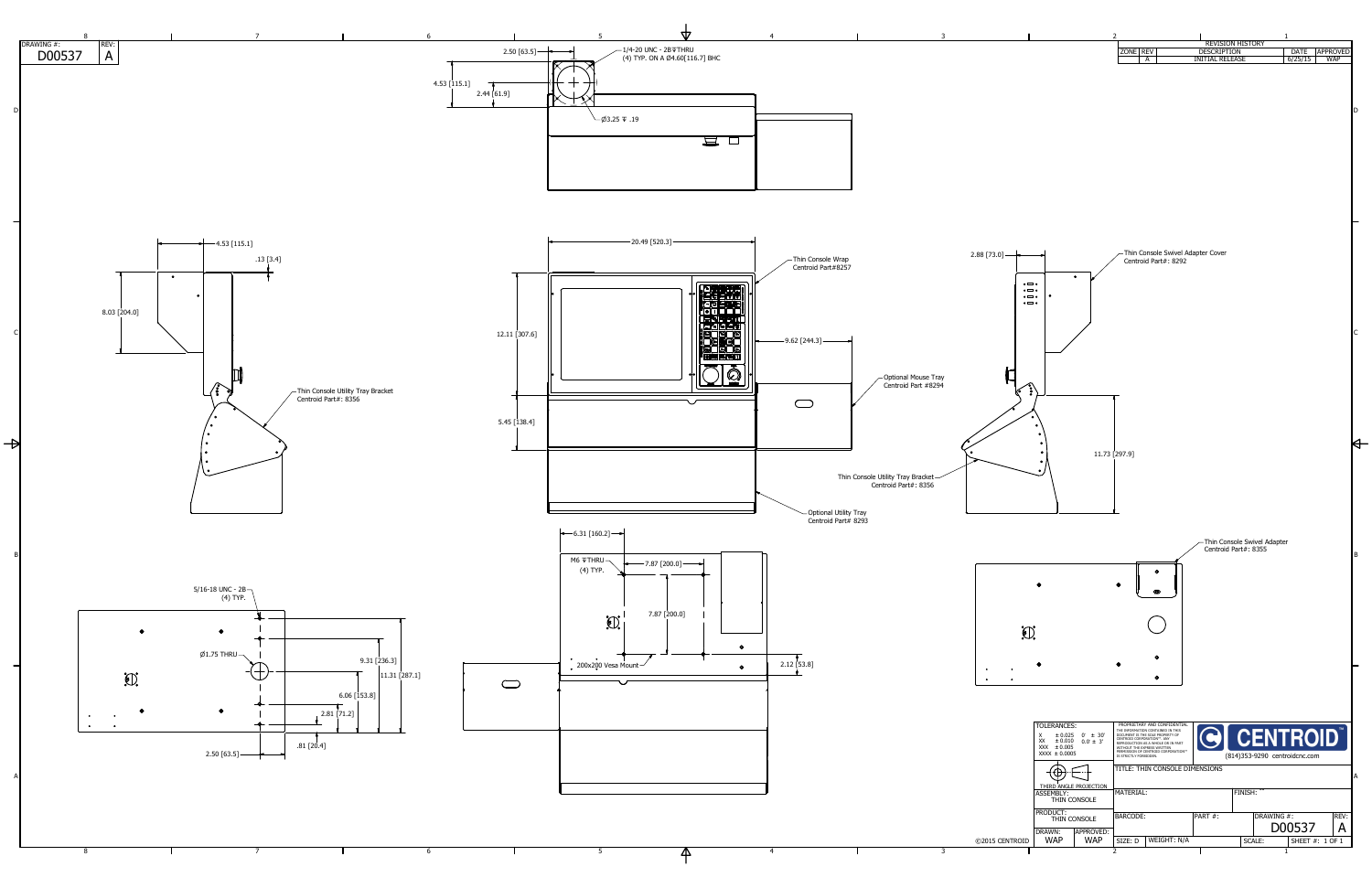|                                                                                              |                                                                                  | $\overline{2}$                                                                                                                         |             |                                                                         |                               | 1                      |                               |         |
|----------------------------------------------------------------------------------------------|----------------------------------------------------------------------------------|----------------------------------------------------------------------------------------------------------------------------------------|-------------|-------------------------------------------------------------------------|-------------------------------|------------------------|-------------------------------|---------|
|                                                                                              |                                                                                  | ZONE REV<br>A                                                                                                                          |             | <b>REVISION HISTORY</b><br><b>DESCRIPTION</b><br><b>INITIAL RELEASE</b> |                               | <b>DATE</b><br>6/25/15 | <b>APPROVED</b><br><b>WAP</b> |         |
|                                                                                              |                                                                                  |                                                                                                                                        |             |                                                                         |                               |                        |                               |         |
|                                                                                              |                                                                                  |                                                                                                                                        |             |                                                                         |                               |                        |                               |         |
|                                                                                              |                                                                                  |                                                                                                                                        |             |                                                                         |                               |                        |                               | D       |
|                                                                                              |                                                                                  |                                                                                                                                        |             |                                                                         |                               |                        |                               |         |
|                                                                                              |                                                                                  |                                                                                                                                        |             |                                                                         |                               |                        |                               |         |
|                                                                                              |                                                                                  |                                                                                                                                        |             |                                                                         |                               |                        |                               |         |
|                                                                                              |                                                                                  |                                                                                                                                        |             |                                                                         |                               |                        |                               |         |
|                                                                                              |                                                                                  |                                                                                                                                        |             |                                                                         |                               |                        |                               |         |
|                                                                                              |                                                                                  |                                                                                                                                        |             |                                                                         |                               |                        |                               |         |
|                                                                                              |                                                                                  |                                                                                                                                        |             |                                                                         |                               |                        |                               |         |
|                                                                                              |                                                                                  | Centroid Part#: 8292                                                                                                                   |             | Thin Console Swivel Adapter Cover                                       |                               |                        |                               |         |
|                                                                                              | $\bullet$                                                                        |                                                                                                                                        |             |                                                                         |                               |                        |                               |         |
| $\bullet \blacksquare \bullet$<br>$\bullet$ $\Box$ $\circ$<br>$\bullet \blacksquare \bullet$ |                                                                                  |                                                                                                                                        |             |                                                                         |                               |                        |                               |         |
| $\bullet$ $\Box$ $\bullet$                                                                   |                                                                                  |                                                                                                                                        |             |                                                                         |                               |                        |                               |         |
|                                                                                              |                                                                                  |                                                                                                                                        |             |                                                                         |                               |                        |                               |         |
|                                                                                              |                                                                                  |                                                                                                                                        |             |                                                                         |                               |                        |                               |         |
|                                                                                              |                                                                                  |                                                                                                                                        |             |                                                                         |                               |                        |                               |         |
|                                                                                              |                                                                                  |                                                                                                                                        |             |                                                                         |                               |                        |                               |         |
| $\frac{1}{2}$                                                                                |                                                                                  |                                                                                                                                        |             |                                                                         |                               |                        |                               |         |
| $\bullet$                                                                                    | ۰                                                                                |                                                                                                                                        |             |                                                                         |                               |                        |                               |         |
|                                                                                              | ۰                                                                                |                                                                                                                                        |             |                                                                         |                               |                        |                               |         |
|                                                                                              |                                                                                  | 11.73 [297.9]                                                                                                                          |             |                                                                         |                               |                        |                               |         |
|                                                                                              |                                                                                  |                                                                                                                                        |             |                                                                         |                               |                        |                               |         |
|                                                                                              |                                                                                  |                                                                                                                                        |             |                                                                         |                               |                        |                               |         |
|                                                                                              |                                                                                  |                                                                                                                                        |             |                                                                         |                               |                        |                               |         |
|                                                                                              |                                                                                  |                                                                                                                                        |             |                                                                         |                               |                        |                               |         |
|                                                                                              |                                                                                  |                                                                                                                                        |             | Centroid Part#: 8355                                                    | Thin Console Swivel Adapter   |                        |                               | $\sf B$ |
|                                                                                              |                                                                                  | $\bullet$                                                                                                                              |             |                                                                         |                               |                        |                               |         |
|                                                                                              | ۰                                                                                | $\bullet$<br>$\boldsymbol{\Phi}$                                                                                                       |             |                                                                         |                               |                        |                               |         |
|                                                                                              |                                                                                  |                                                                                                                                        |             |                                                                         |                               |                        |                               |         |
|                                                                                              |                                                                                  |                                                                                                                                        |             |                                                                         |                               |                        |                               |         |
| $\Omega$                                                                                     |                                                                                  |                                                                                                                                        |             |                                                                         |                               |                        |                               |         |
|                                                                                              |                                                                                  | $\bullet$                                                                                                                              |             |                                                                         |                               |                        |                               |         |
|                                                                                              | O                                                                                | $\bullet$                                                                                                                              |             |                                                                         |                               |                        |                               |         |
|                                                                                              |                                                                                  |                                                                                                                                        |             |                                                                         |                               |                        |                               |         |
|                                                                                              |                                                                                  |                                                                                                                                        |             |                                                                         |                               |                        |                               |         |
|                                                                                              | <b>TOLERANCES:</b><br>X<br>$\pm 0.025$<br>$0^{\circ} \pm 30^{\circ}$             | PROPRIETARY AND CONFIDENTIAL<br>THE INFORMATION CONTAINED IN THIS<br>DOCUMENT IS THE SOLE PROPERTY OF                                  |             |                                                                         | <b>O CENTROID</b>             |                        |                               |         |
|                                                                                              | XX<br>$\pm$ 0.010<br>$0.0^{\circ} \pm 3'$<br>XXX $\pm 0.005$<br>$XXX \pm 0.0005$ | CENTROID CORPORATION™. ANY<br>REPRODUCTION AS A WHOLE OR IN PART<br>WITHOUT THE EXPRESS WRITTEN<br>PERMISSION OF CENTROID CORPORATION™ |             |                                                                         |                               |                        |                               |         |
|                                                                                              |                                                                                  | IS STRICTLY FORBIDDEN.<br>TITLE: THIN CONSOLE DIMENSIONS                                                                               |             |                                                                         | (814)353-9290 centroidcnc.com |                        |                               |         |
|                                                                                              | THIRD ANGLE PROJECTION                                                           |                                                                                                                                        |             |                                                                         |                               |                        |                               | A       |
|                                                                                              | ASSEMBLY:<br>THIN CONSOLE                                                        | MATERIAL:                                                                                                                              |             |                                                                         | FINISH: "                     |                        |                               |         |
|                                                                                              | PRODUCT:<br>THIN CONSOLE                                                         | <b>BARCODE:</b>                                                                                                                        |             | PART#:                                                                  | DRAWING#:                     |                        | REV:                          |         |
| <b>TROID</b>                                                                                 | APPROVED:<br>DRAWN:<br><b>WAP</b><br><b>WAP</b>                                  | SIZE: D                                                                                                                                | WEIGHT: N/A |                                                                         | SCALE:                        | D00537                 | A<br>SHEET #: 1 OF 1          |         |
|                                                                                              |                                                                                  | $\overline{2}$                                                                                                                         |             |                                                                         |                               | $\mathbf 1$            |                               |         |

3

 $\mathbf{\Delta}$ 

4

5

6

7

8



©2015 CENT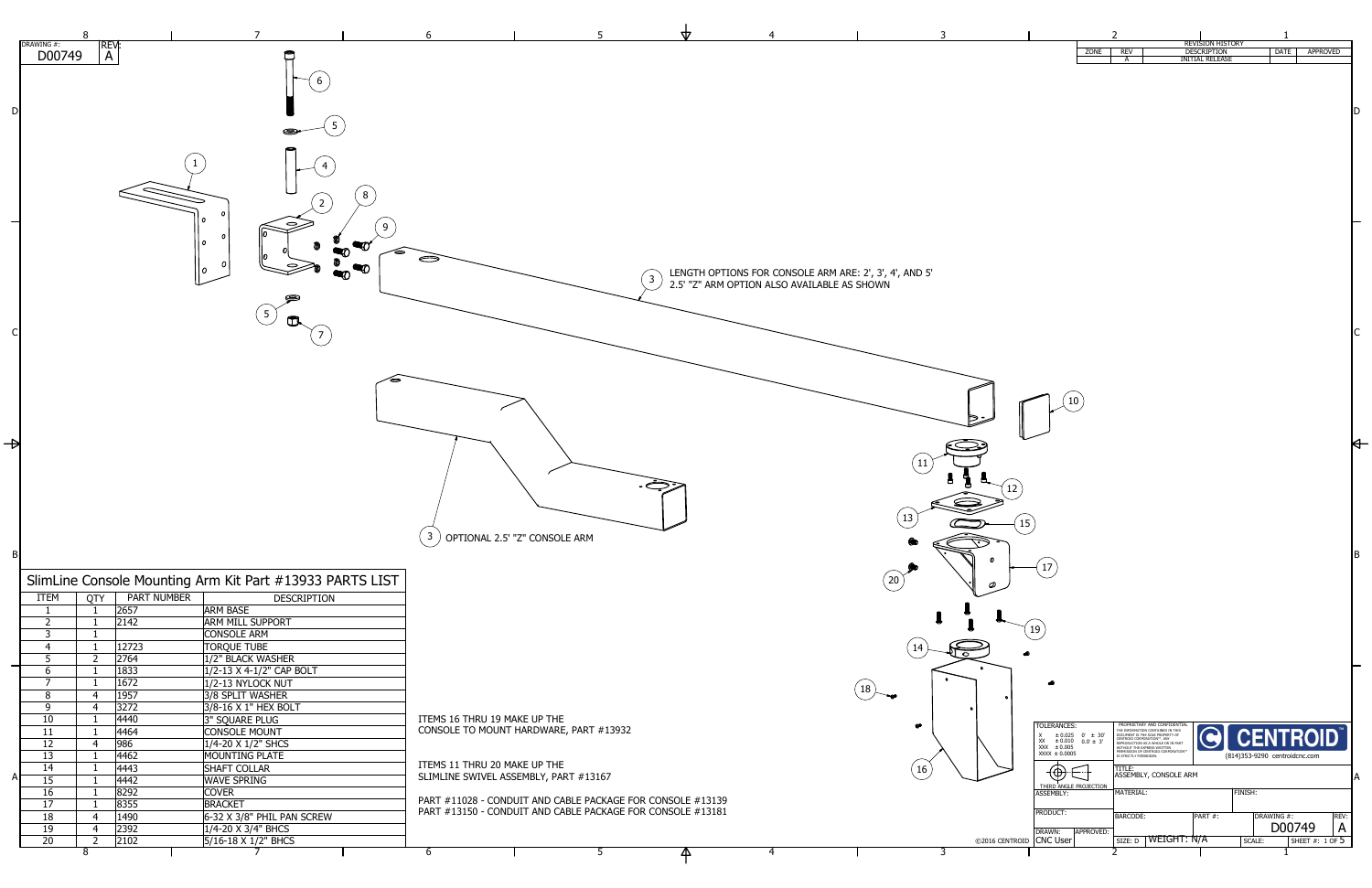TOLERANCES:  $X \pm 0.025$  $XX \pm 0.010$  $XXX \pm 0.005$  $XXX \pm 0.0005$ 

 $\bullet$ 

 $0^{\circ}$   $\pm$  30'  $0.0^{\circ} \pm 3'$ 

1

2

3

 $\boxed{17}$ 

4

5

| <b>REV:</b><br>D00749<br>$\mathsf{A}$<br>6<br>D<br>œ<br>8<br>$2\,$<br>Ο<br>Ο<br>9<br>0<br>$\boldsymbol{o}$<br>∜<br>Ω<br>$\bm{O}$<br>$5\overline{)}$<br>3 <sup>1</sup><br>B<br>SlimLine Console Mounting Arm Kit Part #13933 PARTS LIST<br><b>PART NUMBER</b><br><b>ITEM</b><br><b>QTY</b><br><b>DESCRIPTION</b><br>2657<br><b>ARM BASE</b><br>$\overline{2}$<br>2142<br><b>ARM MILL SUPPORT</b><br>$\overline{3}$<br><b>CONSOLE ARM</b><br><b>TORQUE TUBE</b><br>$\overline{4}$<br>12723<br>1<br>5<br>1/2" BLACK WASHER<br>$\overline{2}$<br>2764<br>6<br>1/2-13 X 4-1/2" CAP BOLT<br>1833<br>$\overline{7}$<br>1/2-13 NYLOCK NUT<br>1672<br>$\mathbf 1$<br>8<br>1957<br>3/8 SPLIT WASHER<br>$\overline{4}$<br>9<br>3/8-16 X 1" HEX BOLT<br>3272<br>$\overline{4}$<br>3" SQUARE PLUG<br>4440<br>10<br><b>CONSOLE MOUNT</b><br>4464<br>11<br>1/4-20 X 1/2" SHCS<br>12<br> 986 <br>$\overline{4}$<br>MOUNTING PLATE<br>13<br>4462<br>1<br>ITEMS 11 THRU 20<br>14<br>4443<br><b>SHAFT COLLAR</b><br><b>SLIMLINE SWIVEL</b><br>A<br>15<br>4442<br><b>WAVE SPRING</b><br>16<br>8292<br><b>COVER</b><br>PART #11028 - CO<br>17<br>8355<br><b>BRACKET</b><br>PART #13150 - CO<br>18<br>$ 6-32\times3/8"$ PHIL PAN SCREW<br>1490<br>$\overline{4}$<br>19<br>2392<br>1/4-20 X 3/4" BHCS<br>$\overline{4}$<br>$5/16 - 18 \times 1/2$ " BHCS<br>20<br>$2^{\circ}$<br>2102<br>8<br>6 |           | 8 |  | 6                      |
|--------------------------------------------------------------------------------------------------------------------------------------------------------------------------------------------------------------------------------------------------------------------------------------------------------------------------------------------------------------------------------------------------------------------------------------------------------------------------------------------------------------------------------------------------------------------------------------------------------------------------------------------------------------------------------------------------------------------------------------------------------------------------------------------------------------------------------------------------------------------------------------------------------------------------------------------------------------------------------------------------------------------------------------------------------------------------------------------------------------------------------------------------------------------------------------------------------------------------------------------------------------------------------------------------------------------------------------------------------------------------|-----------|---|--|------------------------|
|                                                                                                                                                                                                                                                                                                                                                                                                                                                                                                                                                                                                                                                                                                                                                                                                                                                                                                                                                                                                                                                                                                                                                                                                                                                                                                                                                                          | DRAWING#: |   |  |                        |
|                                                                                                                                                                                                                                                                                                                                                                                                                                                                                                                                                                                                                                                                                                                                                                                                                                                                                                                                                                                                                                                                                                                                                                                                                                                                                                                                                                          |           |   |  |                        |
|                                                                                                                                                                                                                                                                                                                                                                                                                                                                                                                                                                                                                                                                                                                                                                                                                                                                                                                                                                                                                                                                                                                                                                                                                                                                                                                                                                          |           |   |  |                        |
|                                                                                                                                                                                                                                                                                                                                                                                                                                                                                                                                                                                                                                                                                                                                                                                                                                                                                                                                                                                                                                                                                                                                                                                                                                                                                                                                                                          |           |   |  |                        |
|                                                                                                                                                                                                                                                                                                                                                                                                                                                                                                                                                                                                                                                                                                                                                                                                                                                                                                                                                                                                                                                                                                                                                                                                                                                                                                                                                                          |           |   |  |                        |
|                                                                                                                                                                                                                                                                                                                                                                                                                                                                                                                                                                                                                                                                                                                                                                                                                                                                                                                                                                                                                                                                                                                                                                                                                                                                                                                                                                          |           |   |  |                        |
|                                                                                                                                                                                                                                                                                                                                                                                                                                                                                                                                                                                                                                                                                                                                                                                                                                                                                                                                                                                                                                                                                                                                                                                                                                                                                                                                                                          |           |   |  |                        |
|                                                                                                                                                                                                                                                                                                                                                                                                                                                                                                                                                                                                                                                                                                                                                                                                                                                                                                                                                                                                                                                                                                                                                                                                                                                                                                                                                                          |           |   |  |                        |
|                                                                                                                                                                                                                                                                                                                                                                                                                                                                                                                                                                                                                                                                                                                                                                                                                                                                                                                                                                                                                                                                                                                                                                                                                                                                                                                                                                          |           |   |  |                        |
|                                                                                                                                                                                                                                                                                                                                                                                                                                                                                                                                                                                                                                                                                                                                                                                                                                                                                                                                                                                                                                                                                                                                                                                                                                                                                                                                                                          |           |   |  |                        |
|                                                                                                                                                                                                                                                                                                                                                                                                                                                                                                                                                                                                                                                                                                                                                                                                                                                                                                                                                                                                                                                                                                                                                                                                                                                                                                                                                                          |           |   |  |                        |
|                                                                                                                                                                                                                                                                                                                                                                                                                                                                                                                                                                                                                                                                                                                                                                                                                                                                                                                                                                                                                                                                                                                                                                                                                                                                                                                                                                          |           |   |  |                        |
|                                                                                                                                                                                                                                                                                                                                                                                                                                                                                                                                                                                                                                                                                                                                                                                                                                                                                                                                                                                                                                                                                                                                                                                                                                                                                                                                                                          |           |   |  |                        |
|                                                                                                                                                                                                                                                                                                                                                                                                                                                                                                                                                                                                                                                                                                                                                                                                                                                                                                                                                                                                                                                                                                                                                                                                                                                                                                                                                                          |           |   |  |                        |
|                                                                                                                                                                                                                                                                                                                                                                                                                                                                                                                                                                                                                                                                                                                                                                                                                                                                                                                                                                                                                                                                                                                                                                                                                                                                                                                                                                          |           |   |  | <b>OPTIONAL 2.</b>     |
|                                                                                                                                                                                                                                                                                                                                                                                                                                                                                                                                                                                                                                                                                                                                                                                                                                                                                                                                                                                                                                                                                                                                                                                                                                                                                                                                                                          |           |   |  |                        |
|                                                                                                                                                                                                                                                                                                                                                                                                                                                                                                                                                                                                                                                                                                                                                                                                                                                                                                                                                                                                                                                                                                                                                                                                                                                                                                                                                                          |           |   |  |                        |
|                                                                                                                                                                                                                                                                                                                                                                                                                                                                                                                                                                                                                                                                                                                                                                                                                                                                                                                                                                                                                                                                                                                                                                                                                                                                                                                                                                          |           |   |  |                        |
|                                                                                                                                                                                                                                                                                                                                                                                                                                                                                                                                                                                                                                                                                                                                                                                                                                                                                                                                                                                                                                                                                                                                                                                                                                                                                                                                                                          |           |   |  |                        |
|                                                                                                                                                                                                                                                                                                                                                                                                                                                                                                                                                                                                                                                                                                                                                                                                                                                                                                                                                                                                                                                                                                                                                                                                                                                                                                                                                                          |           |   |  |                        |
|                                                                                                                                                                                                                                                                                                                                                                                                                                                                                                                                                                                                                                                                                                                                                                                                                                                                                                                                                                                                                                                                                                                                                                                                                                                                                                                                                                          |           |   |  |                        |
|                                                                                                                                                                                                                                                                                                                                                                                                                                                                                                                                                                                                                                                                                                                                                                                                                                                                                                                                                                                                                                                                                                                                                                                                                                                                                                                                                                          |           |   |  |                        |
|                                                                                                                                                                                                                                                                                                                                                                                                                                                                                                                                                                                                                                                                                                                                                                                                                                                                                                                                                                                                                                                                                                                                                                                                                                                                                                                                                                          |           |   |  |                        |
|                                                                                                                                                                                                                                                                                                                                                                                                                                                                                                                                                                                                                                                                                                                                                                                                                                                                                                                                                                                                                                                                                                                                                                                                                                                                                                                                                                          |           |   |  |                        |
|                                                                                                                                                                                                                                                                                                                                                                                                                                                                                                                                                                                                                                                                                                                                                                                                                                                                                                                                                                                                                                                                                                                                                                                                                                                                                                                                                                          |           |   |  |                        |
|                                                                                                                                                                                                                                                                                                                                                                                                                                                                                                                                                                                                                                                                                                                                                                                                                                                                                                                                                                                                                                                                                                                                                                                                                                                                                                                                                                          |           |   |  |                        |
|                                                                                                                                                                                                                                                                                                                                                                                                                                                                                                                                                                                                                                                                                                                                                                                                                                                                                                                                                                                                                                                                                                                                                                                                                                                                                                                                                                          |           |   |  | ITEMS 16 THRU 19       |
|                                                                                                                                                                                                                                                                                                                                                                                                                                                                                                                                                                                                                                                                                                                                                                                                                                                                                                                                                                                                                                                                                                                                                                                                                                                                                                                                                                          |           |   |  | <b>CONSOLE TO MOUI</b> |
|                                                                                                                                                                                                                                                                                                                                                                                                                                                                                                                                                                                                                                                                                                                                                                                                                                                                                                                                                                                                                                                                                                                                                                                                                                                                                                                                                                          |           |   |  |                        |
|                                                                                                                                                                                                                                                                                                                                                                                                                                                                                                                                                                                                                                                                                                                                                                                                                                                                                                                                                                                                                                                                                                                                                                                                                                                                                                                                                                          |           |   |  |                        |
|                                                                                                                                                                                                                                                                                                                                                                                                                                                                                                                                                                                                                                                                                                                                                                                                                                                                                                                                                                                                                                                                                                                                                                                                                                                                                                                                                                          |           |   |  |                        |
|                                                                                                                                                                                                                                                                                                                                                                                                                                                                                                                                                                                                                                                                                                                                                                                                                                                                                                                                                                                                                                                                                                                                                                                                                                                                                                                                                                          |           |   |  |                        |
|                                                                                                                                                                                                                                                                                                                                                                                                                                                                                                                                                                                                                                                                                                                                                                                                                                                                                                                                                                                                                                                                                                                                                                                                                                                                                                                                                                          |           |   |  |                        |
|                                                                                                                                                                                                                                                                                                                                                                                                                                                                                                                                                                                                                                                                                                                                                                                                                                                                                                                                                                                                                                                                                                                                                                                                                                                                                                                                                                          |           |   |  |                        |
|                                                                                                                                                                                                                                                                                                                                                                                                                                                                                                                                                                                                                                                                                                                                                                                                                                                                                                                                                                                                                                                                                                                                                                                                                                                                                                                                                                          |           |   |  |                        |
|                                                                                                                                                                                                                                                                                                                                                                                                                                                                                                                                                                                                                                                                                                                                                                                                                                                                                                                                                                                                                                                                                                                                                                                                                                                                                                                                                                          |           |   |  |                        |
|                                                                                                                                                                                                                                                                                                                                                                                                                                                                                                                                                                                                                                                                                                                                                                                                                                                                                                                                                                                                                                                                                                                                                                                                                                                                                                                                                                          |           |   |  |                        |



CNC User

DRAWN: **APPROVED:** 

12  $\begin{pmatrix} 15 \end{pmatrix}$ 

MATERIAL:

ASSEMBLY:

DRAWING #:

SCALE:

D00749

SHEET #: 1 OF  $5$ 

FINISH:

A

TITLE:



PRODUCT: BARCODE: PART #: DRAWING #: REV:

SIZE: D | WEIGHT: N/A

|             |              | <b>REVISION HISTORY</b> |             |                 |
|-------------|--------------|-------------------------|-------------|-----------------|
| <b>ZONE</b> | <b>REV</b>   | <b>DESCRIPTION</b>      | <b>DATE</b> | <b>APPROVED</b> |
|             | $\mathsf{A}$ | <b>INITIAL RELEASE</b>  |             |                 |
|             |              |                         |             |                 |
|             |              |                         |             |                 |
|             |              |                         |             |                 |
|             |              |                         |             |                 |
|             |              |                         |             |                 |

 $\sqrt{10}$ 

THIRD ANGLE PROJECTION

ASSEMBLY, CONSOLE ARM

**CENTROID** 

19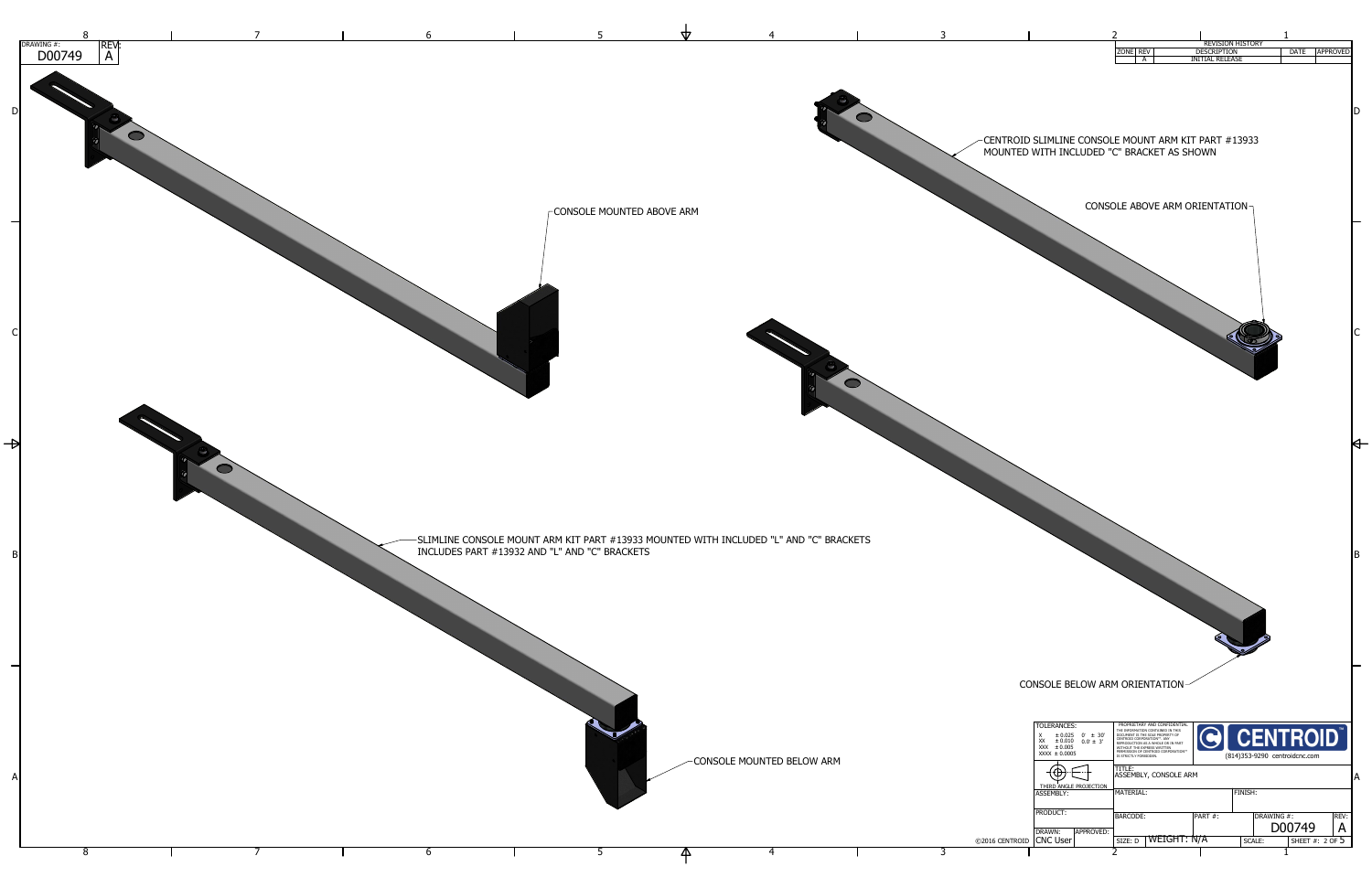|                                                                                                      | フ                                                                                                                                                                          |                                              |                                 |                               |                 |
|------------------------------------------------------------------------------------------------------|----------------------------------------------------------------------------------------------------------------------------------------------------------------------------|----------------------------------------------|---------------------------------|-------------------------------|-----------------|
|                                                                                                      | ZONE   REV<br>A                                                                                                                                                            | <b>DESCRIPTION</b><br><b>INITIAL RELEASE</b> | <b>REVISION HISTORY</b>         | <b>DATE</b>                   | <b>APPROVED</b> |
|                                                                                                      |                                                                                                                                                                            |                                              |                                 |                               |                 |
|                                                                                                      |                                                                                                                                                                            |                                              |                                 |                               |                 |
|                                                                                                      |                                                                                                                                                                            |                                              |                                 |                               | D               |
|                                                                                                      |                                                                                                                                                                            |                                              |                                 |                               |                 |
| CENTROID SLIMLINE CONSOLE MOUNT ARM KIT PART #13933<br>MOUNTED WITH INCLUDED "C" BRACKET AS SHOWN    |                                                                                                                                                                            |                                              |                                 |                               |                 |
|                                                                                                      |                                                                                                                                                                            |                                              |                                 |                               |                 |
|                                                                                                      |                                                                                                                                                                            |                                              |                                 |                               |                 |
|                                                                                                      |                                                                                                                                                                            | CONSOLE ABOVE ARM ORIENTATION-               |                                 |                               |                 |
|                                                                                                      |                                                                                                                                                                            |                                              |                                 |                               |                 |
|                                                                                                      |                                                                                                                                                                            |                                              |                                 |                               |                 |
|                                                                                                      |                                                                                                                                                                            |                                              |                                 |                               |                 |
|                                                                                                      |                                                                                                                                                                            |                                              |                                 |                               |                 |
|                                                                                                      |                                                                                                                                                                            |                                              |                                 |                               |                 |
|                                                                                                      |                                                                                                                                                                            |                                              |                                 |                               |                 |
|                                                                                                      |                                                                                                                                                                            |                                              |                                 |                               |                 |
|                                                                                                      |                                                                                                                                                                            |                                              |                                 |                               |                 |
|                                                                                                      |                                                                                                                                                                            |                                              |                                 |                               |                 |
|                                                                                                      |                                                                                                                                                                            |                                              |                                 |                               |                 |
|                                                                                                      |                                                                                                                                                                            |                                              |                                 |                               |                 |
|                                                                                                      |                                                                                                                                                                            |                                              |                                 |                               |                 |
|                                                                                                      |                                                                                                                                                                            |                                              |                                 |                               |                 |
|                                                                                                      |                                                                                                                                                                            |                                              |                                 |                               |                 |
|                                                                                                      |                                                                                                                                                                            |                                              |                                 |                               |                 |
|                                                                                                      |                                                                                                                                                                            |                                              |                                 |                               |                 |
|                                                                                                      |                                                                                                                                                                            |                                              |                                 |                               |                 |
|                                                                                                      |                                                                                                                                                                            |                                              |                                 |                               |                 |
|                                                                                                      |                                                                                                                                                                            |                                              |                                 |                               |                 |
|                                                                                                      |                                                                                                                                                                            |                                              |                                 |                               | B               |
|                                                                                                      |                                                                                                                                                                            |                                              |                                 |                               |                 |
|                                                                                                      |                                                                                                                                                                            |                                              |                                 |                               |                 |
|                                                                                                      |                                                                                                                                                                            |                                              |                                 |                               |                 |
|                                                                                                      |                                                                                                                                                                            |                                              |                                 |                               |                 |
|                                                                                                      |                                                                                                                                                                            |                                              |                                 |                               |                 |
|                                                                                                      |                                                                                                                                                                            |                                              |                                 |                               |                 |
| <b>CONSOLE BELOW ARM ORIENTATION</b>                                                                 |                                                                                                                                                                            |                                              |                                 |                               |                 |
|                                                                                                      |                                                                                                                                                                            |                                              |                                 |                               |                 |
| <b>TOLERANCES:</b>                                                                                   | PROPRIETARY AND CONFIDENTIAL<br>THE INFORMATION CONTAINED IN THIS                                                                                                          |                                              |                                 |                               |                 |
| $\pm 0.025$ 0° $\pm 30'$<br>X<br>XX<br>$\pm 0.010$<br>$0.0^{\circ} \pm 3^{\circ}$<br>XXX $\pm 0.005$ | DOCUMENT IS THE SOLE PROPERTY OF<br>CENTROID CORPORATION™. ANY<br>REPRODUCTION AS A WHOLE OR IN PART<br>WITHOUT THE EXPRESS WRITTEN<br>PERMISSION OF CENTROID CORPORATION™ |                                              | G CENTROID                      |                               |                 |
| $XXX \pm 0.0005$                                                                                     | IS STRICTLY FORBIDDEN.<br>TITLE:                                                                                                                                           |                                              | (814) 353-9290 centroid cnc.com |                               |                 |
| ┯<br>THIRD ANGLE PROJECTION                                                                          | <b>ASSEMBLY, CONSOLE ARM</b>                                                                                                                                               |                                              |                                 |                               | А               |
| ASSEMBLY:                                                                                            | <b>MATERIAL:</b>                                                                                                                                                           |                                              | FINISH:                         |                               |                 |
| PRODUCT:                                                                                             | <b>BARCODE:</b>                                                                                                                                                            | PART#:                                       | DRAWING #:                      |                               | REV:            |
| DRAWN:<br>APPROVED:<br><b>CNC User</b><br><b>2016 CENTROID</b>                                       |                                                                                                                                                                            | WEIGHT: N/A                                  |                                 | D00749<br>SHEET #: $2$ OF $5$ | A               |
|                                                                                                      | SIZE: D<br>2                                                                                                                                                               |                                              | <b>SCALE:</b>                   | 1                             |                 |
|                                                                                                      |                                                                                                                                                                            |                                              |                                 |                               |                 |



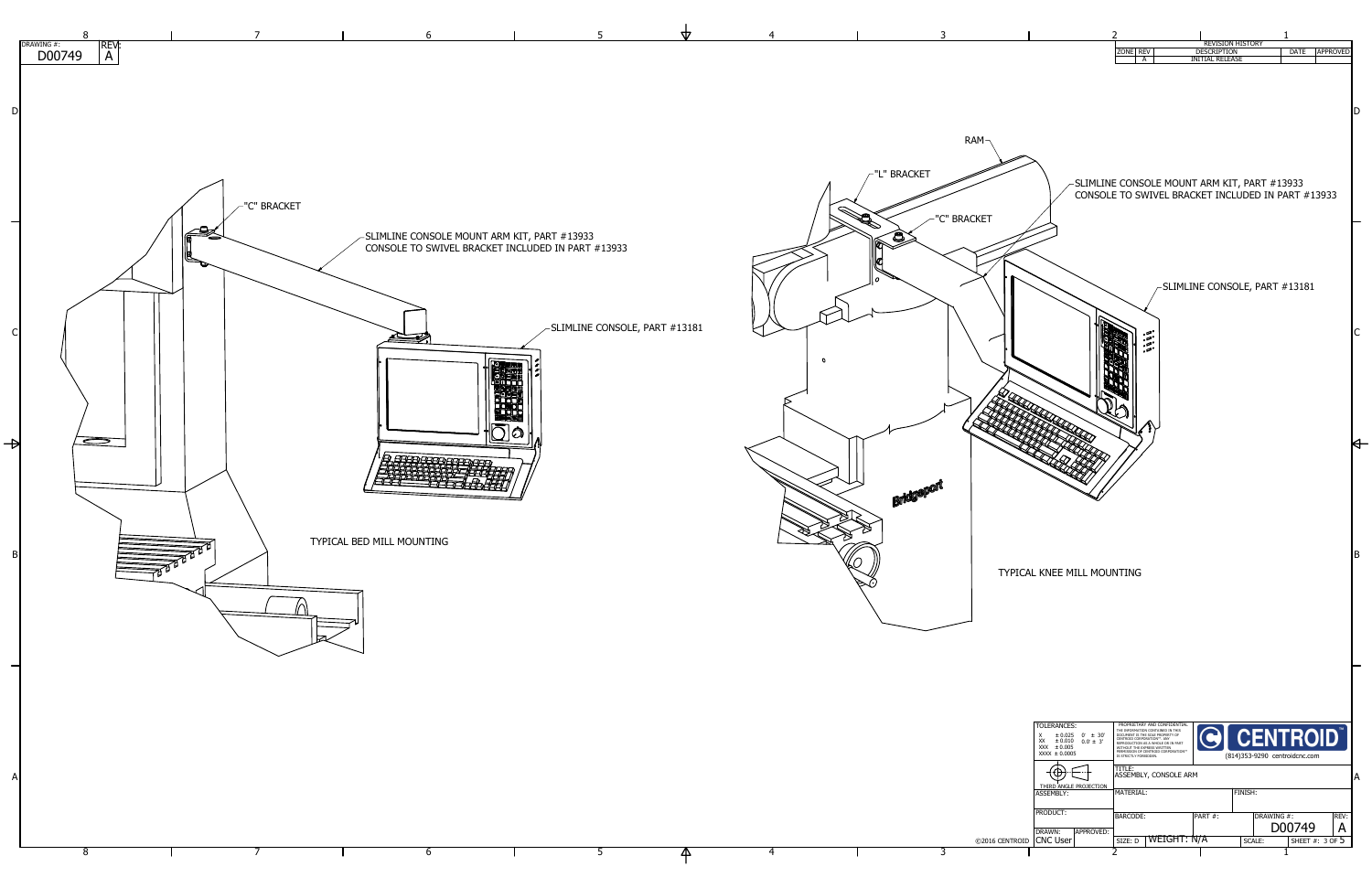



5

57

 $-$ SLIMLINE CONSOLE, PART #13181

5

4

6

7

8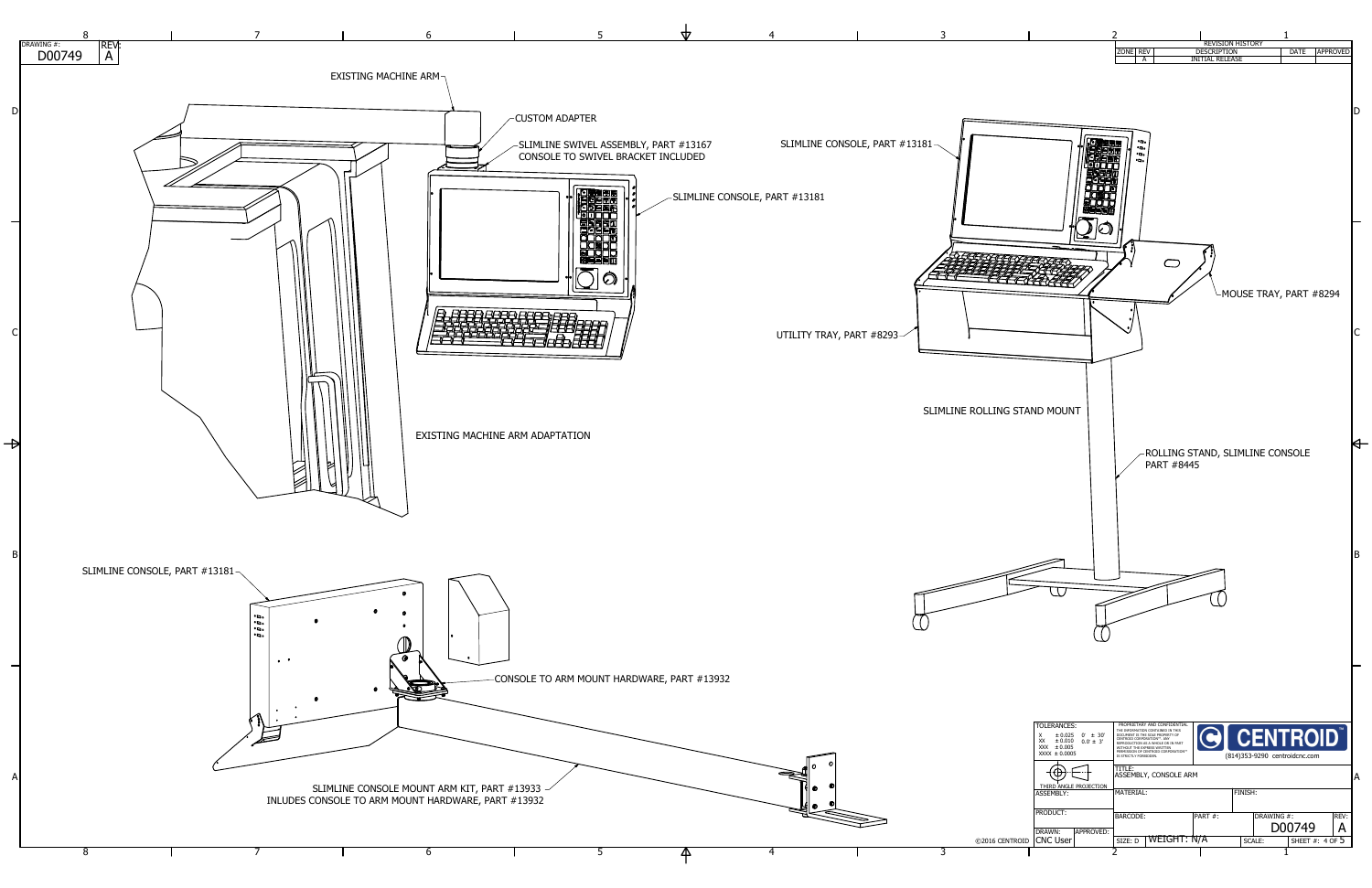